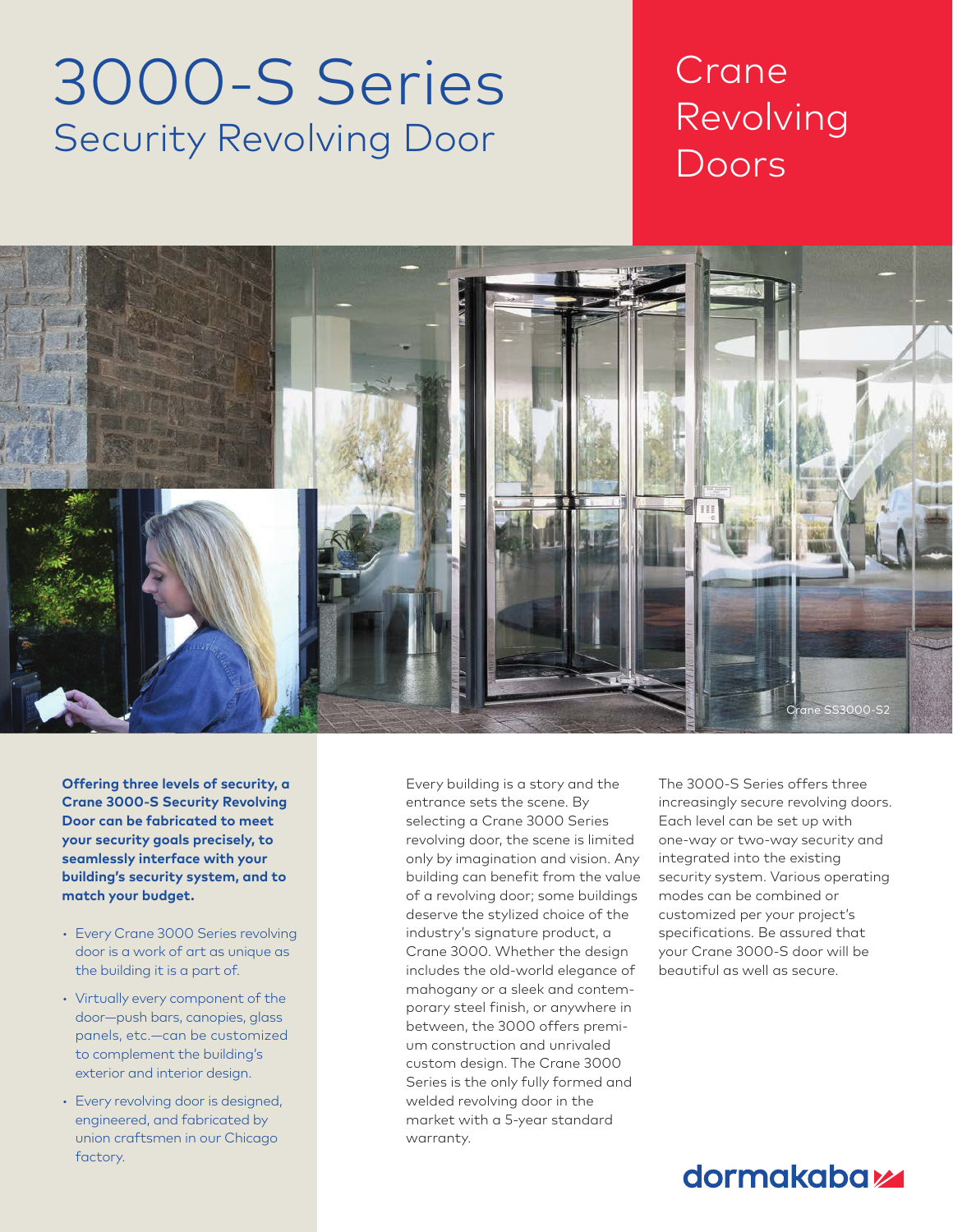# 3000-S Series Security Revolving Door

## Crane Revolving Doors

Chapter Title Section Title



**Offering three levels of security, a Crane 3000-S Security Revolving Door can be fabricated to meet your security goals precisely, to seamlessly interface with your building's security system, and to match your budget.** 

- Every Crane 3000 Series revolving door is a work of art as unique as the building it is a part of.
- Virtually every component of the door—push bars, canopies, glass panels, etc.—can be customized to complement the building's exterior and interior design.
- Every revolving door is designed, engineered, and fabricated by union craftsmen in our Chicago factory.

Every building is a story and the entrance sets the scene. By selecting a Crane 3000 Series revolving door, the scene is limited only by imagination and vision. Any building can benefit from the value of a revolving door; some buildings deserve the stylized choice of the industry's signature product, a Crane 3000. Whether the design includes the old-world elegance of mahogany or a sleek and contemporary steel finish, or anywhere in between, the 3000 offers premium construction and unrivaled custom design. The Crane 3000 Series is the only fully formed and welded revolving door in the market with a 5-year standard warranty.

The 3000-S Series offers three increasingly secure revolving doors. Each level can be set up with one-way or two-way security and integrated into the existing security system. Various operating modes can be combined or customized per your project's specifications. Be assured that your Crane 3000-S door will be beautiful as well as secure.

### dormakaba<sub>k</sub>